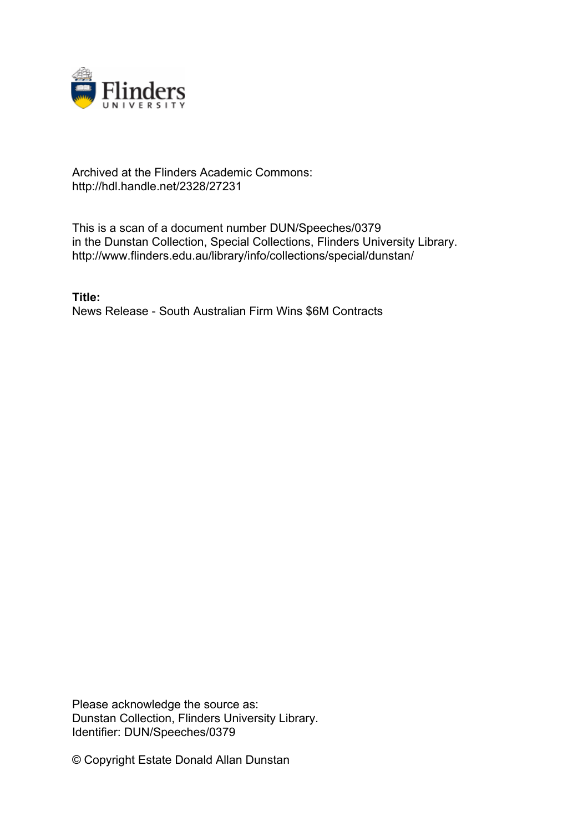

## Archived at the Flinders Academic Commons: http://hdl.handle.net/2328/27231

This is a scan of a document number DUN/Speeches/0379 in the Dunstan Collection, Special Collections, Flinders University Library. http://www.flinders.edu.au/library/info/collections/special/dunstan/

**Title:** News Release - South Australian Firm Wins \$6M Contracts

Please acknowledge the source as: Dunstan Collection, Flinders University Library. Identifier: DUN/Speeches/0379

© Copyright Estate Donald Allan Dunstan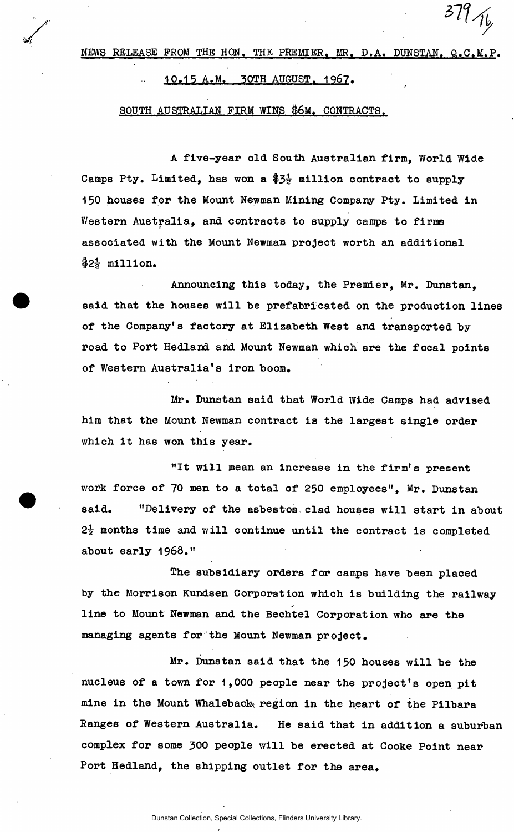NEWS RELEASE FROM THE HON. THE PREMIER. MR. D.A. DUNSTAN. Q.C**.M**.P.

 $379/16$ 

### 10.15 A.M. 30TH AUGUST. 1967.

### SOUTH AUSTRALIAN FIRM WINS \$6M. CONTRACTS.

A five-year old South Australian firm, World Wide Camps Pty. Limited, has won a \$3 $\frac{1}{2}$  million contract to supply 150 houses for the Mount Newman Mining Company Pty. Limited in Western Australia, and contracts to supply camps to firms associated with the Mount Newman project worth an additional  $$2\frac{1}{2}$$  million.

Announcing this today, the Premier, Mr. Dunstan, said that the houses will be prefabricated on the production lines of the Company's factory at Elizabeth West and transported by road to Port Hedland and Mount Newman which are the focal points of Western Australia's iron boom.

Mr. Dunstan said that World Wide Camps had advised him that the Mount Newman contract is the largest single order which it has won this year.

"It will mean an increase in the firm's present work force of 70 men to a total of 250 employees". Mr. Dunstan said. "Delivery of the asbestos clad houses will start in about  $2\frac{1}{2}$  months time and will continue until the contract is completed about early 1968."

The subsidiary orders for camps have been placed by the Morrison Kundsen Corporation which is building the railway line to Mount Newman and the Bechtel Corporation who are the managing agents for the Mount Newman project.

Mr. Dunstan said that the 150 houses will be the nucleus of a town for 1,000 people near the project's open pit mine in the Mount Whaleback region in the heart of the Pilbara Ranges of Western Australia. He said that in addition a suburban complex for some 300 people will be erected at Cooke Point near Port Hedland, the shipping outlet for the area.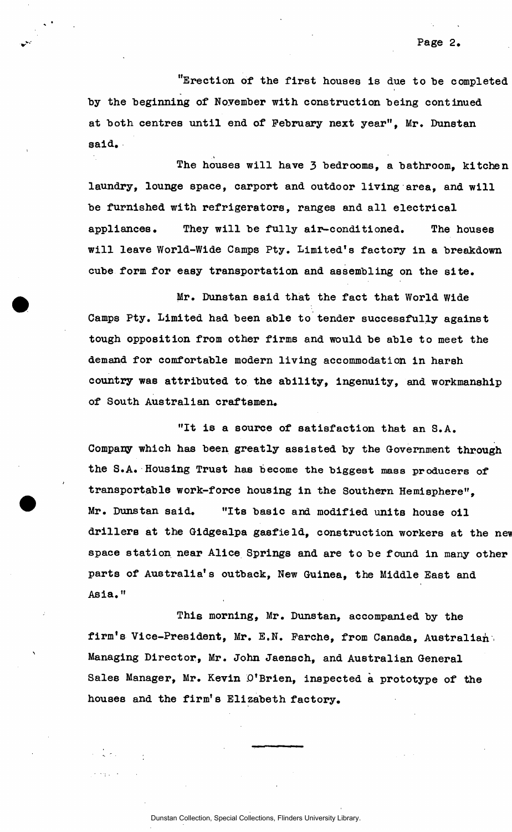"Erection of the first houses is due to be completed by the beginning of November with construction being continued at both centres until end of February next year". Mr. Dunstan said.

The houses will have 3 bedrooms, a bathroom, kitchen laundry, lounge space, carport and outdoor living area, and will be furnished with refrigerators, ranges and all electrical appliances. They will be fully air-conditioned. The houses will leave World-Wide Camps Pty. Limited's factory in a breakdown cube form for easy transportation and assembling on the site.

Mr. Dunstan said that the fact that World Wide Camps Pty. Limited had been able to tender successfully against tough opposition from other firms and would be able to meet the demand for comfortable modern living accommodation in harsh country was attributed to the ability, ingenuity, and workmanship of South Australian craftsmen.

"It is a source of satisfaction that an S.A. Company which has been greatly assisted by the Government through the S.A. Housing Trust has become the biggest mass producers of transportable work-force housing in the Southern Hemisphere", Mr. Dunstan said. "Its basic and modified units house oil drillers at the Gidgealpa gasfield, construction workers at the new space station near Alice Springs and are to be found in many other parts of Australia's outback, New Guinea, the Middle East and Asia. "

This morning, Mr. Dunstan, accompanied by the firm's Vice-President, Mr. E.N. Farche, from Canada, Australian Managing Director, Mr. John Jaensch, and Australian General Sales Manager, Mr. Kevin O'Brien, inspected a prototype of the houses and the firm's Elizabeth factory.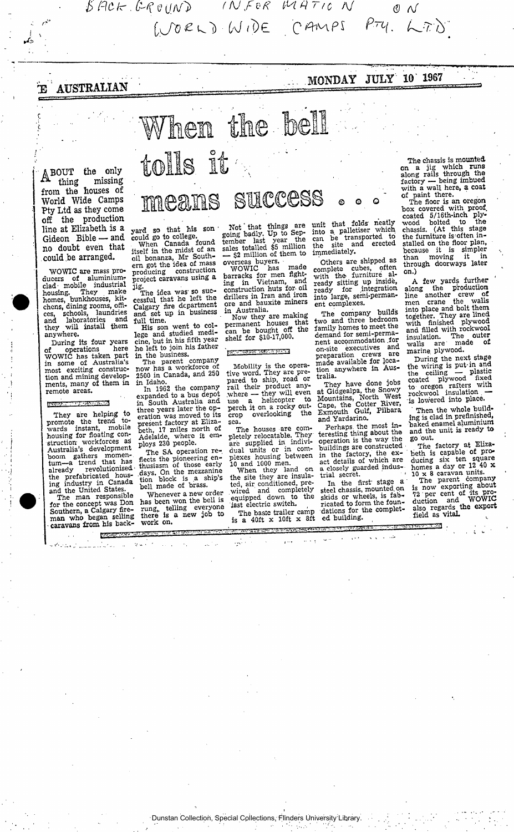(^/ o £ O *OJ tl)c* c *^PS*<sup>p</sup> *~* c *(*• *^rh ]* 

*£> hr . 0 f t f< IH R T, C M ^* 

## E AUSTRALIAN

**.MONDAY JULY'' 10' 1967** 

**ABOUT the only thing missing from the houses of World Wide Camps Pty Ltd as they come off the production line at Elizabeth is a Gideon Bible — and no doubt even that could.be arranged.** 

WOWIC are mass producers of aluminium-<br>clad mobile industrial<br>housing. They make homes, bunkhouses, kit-<br>chens, dining rooms, offi-<br>ces, schools, laundries<br>and laboratories and<br>they will install them anywhere.

During its four years of operations here<br>WOWIC has taken part<br>in some of Australia's<br>most exciting construction and mining develop-<br>ments, many of them in<br>remote areas.

#### ESSE

They are helping to<br>promote the trend to-<br>wards instant, mobile<br>housing for floating con-<br>struction-workforces as Australia's development<br>boom gathers momen-<br>tum—a trend that has<br>already revolutionised the prefabricated hous-ing industry in Canada and the United States. The man responsible

for the concept was Don<br>Southern, a Calgary fire-<br>man who began selling caravans from his back-

四

# means success © © Q

When the bell

tolls it

yard so that his son<br>
could go to college.<br>
When Canada found<br>
itself in the midst of an<br>
oil bonanza, Mr South-<br>
ern got the idea of mass

producing construction<br>project caravans using a<br>jig.<br>The idea was so suc-<br>cessful that he left the<br>Calgary fire department<br>and set up in business<br>full time.<br>His son went to col-<br>lege and studied medi-<br>cine, but in his fift

he left to join his father

in the business.<br>The parent company<br>now has a workforce of<br>2500 in Canada, and 250 in Idaho.

In 1962 the company<br>expanded to a bus depot<br>in South Australia and three years later the op-<br>
eration was moved to its<br>
beth, 17 miles north of<br>
Adelaide, where it em-<br>
ploys 230 people.

The SA operation re-<br>flects the pioneering en-<br>thusiasm of those early<br>days. On the mezzanine<br>tion block is a ship's<br>bell made of brass.

Whenever a new order has been won the bell is<br>rung, telling everyone<br>there is a new job to work on.

Not that things are<br>going badly. Up to Sep-<br>tember last year the<br>sales totalled \$5 million<br> $-$  \$2 million of them to

overseas buyers.<br>
WOWIC has made<br>barracks for men fight-<br>ing in Vietnam, and<br>
construction huts for oil drillers in Iran and iron<br>ore and bauxite miners in Australia.

Now they are making<br>permanent houses that<br>can be bought off the<br>shelf for \$10-17,000.

#### $E = 1.1$

Mobility is the opera-<br>tive word. They are pre-<br>rail their product any-<br>where — they will even<br>use a helicopter to perch it on a rocky out-crop overlooking the sea.

The houses are com-<br>pletely relocatable. They<br>are supplied in individual units or in com-<br>plexes housing between<br>10 and 1000 men.<br>When they land on

the site they are insulated, air conditioned, pre-<br>wired and completely<br>equipped down to the last electric switch.

The basic trailer camp<br>is a 40ft x 10ft x 8ft

unit that folds heatly<br>
into a palletiser which<br>
can be transported to<br>
the site and erected immediately.<br>Others are shipped as

Others are shipped as<br>
complete cubes, often<br>
with the furniture<br>
ready sitting up inside,<br>
ready for integration<br>
into large, semi-perman-<br>
ent complexes.

The company builds<br>two and three bedroom family homes to meet the demand for semi-perma-<br>nent accommodation for on-site executives and<br>preparation crews are preparation crews and<br>made available for location anywhere in Aus-<br>tralia. tralia.

They have done jobs<br>
at Gidgealpa, the Snowy<br>
Mountains, North West<br>
Cape, the Cotter River,<br>
Exmouth Gulf, Pilbara<br>
and Yardarino.

Perhaps, the most in-<br>teresting thing about the the operation is the way the posituation is the way the buildings are constructed<br>in the factory, the ex-<br>act details of which are<br>a closely guarded indus-<br>trial secret.

In the first stage a steel chassis, mounted on skeld chassis, mounted, on<br>
skids or wheels, is fab-<br>
ricated to form the foun-<br>
dations for the complet-<br>
ed building.

2

The chassis is mounted<br>on a jig which runs<br>along rails through the factory — being imbued<br>with a wall here, a coat<br>of paint there.

The floor is an oregon<br>
box covered with proof,<br>
coated 5/16th-inch ply-<br>
chassis. (At this stage<br>
the furniture is often installed on the floor plan,<br>because it is simpler<br>than moving it in<br>through doorways later on.)

A few yards further<br>
line another crew of<br>
men crane the walls<br>
into place and bolt them<br>
together. They are lined<br>
with finished plywood<br>
and filled with rockwool<br>
insulation. The outer insulation. The outer<br>walls are made of marine, plywood.

During the next stage the wiring is put-in and the ceiling — plastic<br>
coated plywood fixed<br>
to oregon rafters with<br>
rockwool insulation is lowered into place.

Then the whole build-<br>ing is clad in prefinished,<br>baked enamel aluminium<br>and the unit is ready to go out.

The factory at Enzancement between the square domes a day or 12 40 x<br>homes a day or 12 40 x<br>homes a day or 12 40 x<br>is now exporting about<br>is now exporting the pro-<br>question and WOWIC<br>also regards the export<br>field as vital

 $\mathcal{L} = \{ \mathcal{L} \in \mathcal{L} \mid \mathcal{L} \in \mathcal{L} \}$ 

Dunstan Collection, Special Collections, Flinders University Library.